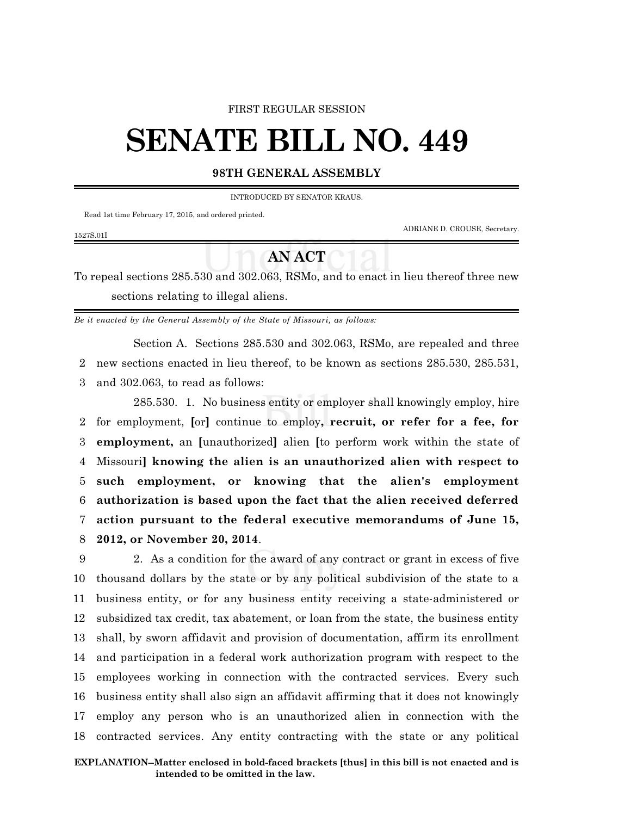## FIRST REGULAR SESSION

## **SENATE BILL NO. 449**

## **98TH GENERAL ASSEMBLY**

INTRODUCED BY SENATOR KRAUS.

Read 1st time February 17, 2015, and ordered printed.

1527S.01I

ADRIANE D. CROUSE, Secretary.

## **AN ACT**

To repeal sections 285.530 and 302.063, RSMo, and to enact in lieu thereof three new sections relating to illegal aliens.

*Be it enacted by the General Assembly of the State of Missouri, as follows:*

Section A. Sections 285.530 and 302.063, RSMo, are repealed and three 2 new sections enacted in lieu thereof, to be known as sections 285.530, 285.531,

3 and 302.063, to read as follows:

285.530. 1. No business entity or employer shall knowingly employ, hire for employment, **[**or**]** continue to employ**, recruit, or refer for a fee, for employment,** an **[**unauthorized**]** alien **[**to perform work within the state of Missouri**] knowing the alien is an unauthorized alien with respect to such employment, or knowing that the alien's employment authorization is based upon the fact that the alien received deferred action pursuant to the federal executive memorandums of June 15, 2012, or November 20, 2014**.

 2. As a condition for the award of any contract or grant in excess of five thousand dollars by the state or by any political subdivision of the state to a business entity, or for any business entity receiving a state-administered or subsidized tax credit, tax abatement, or loan from the state, the business entity shall, by sworn affidavit and provision of documentation, affirm its enrollment and participation in a federal work authorization program with respect to the employees working in connection with the contracted services. Every such business entity shall also sign an affidavit affirming that it does not knowingly employ any person who is an unauthorized alien in connection with the contracted services. Any entity contracting with the state or any political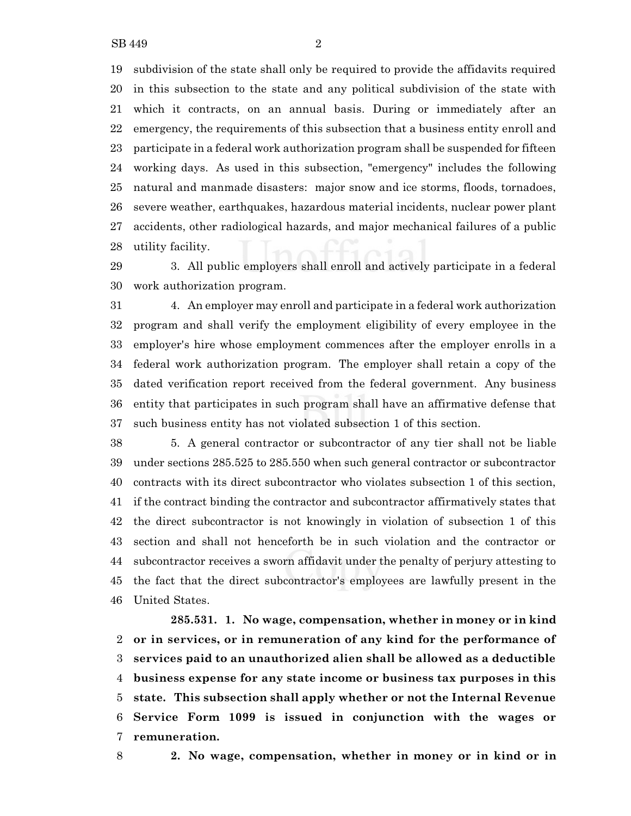subdivision of the state shall only be required to provide the affidavits required in this subsection to the state and any political subdivision of the state with which it contracts, on an annual basis. During or immediately after an emergency, the requirements of this subsection that a business entity enroll and participate in a federal work authorization program shall be suspended for fifteen working days. As used in this subsection, "emergency" includes the following natural and manmade disasters: major snow and ice storms, floods, tornadoes, severe weather, earthquakes, hazardous material incidents, nuclear power plant accidents, other radiological hazards, and major mechanical failures of a public utility facility.

 3. All public employers shall enroll and actively participate in a federal work authorization program.

 4. An employer may enroll and participate in a federal work authorization program and shall verify the employment eligibility of every employee in the employer's hire whose employment commences after the employer enrolls in a federal work authorization program. The employer shall retain a copy of the dated verification report received from the federal government. Any business entity that participates in such program shall have an affirmative defense that such business entity has not violated subsection 1 of this section.

 5. A general contractor or subcontractor of any tier shall not be liable under sections 285.525 to 285.550 when such general contractor or subcontractor contracts with its direct subcontractor who violates subsection 1 of this section, if the contract binding the contractor and subcontractor affirmatively states that the direct subcontractor is not knowingly in violation of subsection 1 of this section and shall not henceforth be in such violation and the contractor or subcontractor receives a sworn affidavit under the penalty of perjury attesting to the fact that the direct subcontractor's employees are lawfully present in the United States.

**285.531. 1. No wage, compensation, whether in money or in kind or in services, or in remuneration of any kind for the performance of services paid to an unauthorized alien shall be allowed as a deductible business expense for any state income or business tax purposes in this state. This subsection shall apply whether or not the Internal Revenue Service Form 1099 is issued in conjunction with the wages or remuneration.**

**2. No wage, compensation, whether in money or in kind or in**